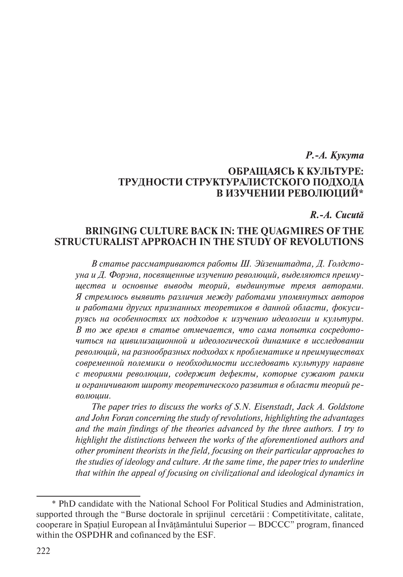# *Р.-А. Кукута* **ОБРАЩАЯСЬ К КУЛЬТУРЕ: ТРУДНОСТИ СТРУКТУРАЛИСТСКОГО ПОДХОДА В ИЗУЧЕНИИ РЕВОЛЮЦИЙ\***

*R.-A. Cucută*

## **BRINGING CULTURE BACK IN: THE QUAGMIRES OF THE STRUCTURALIST APPROACH IN THE STUDY OF REVOLUTIONS**

*В статье рассматриваются работы Ш. Эйзенштадта, Д. Голдстоуна и Д. Форэна, посвященные изучению революций, выделяются преимущества и основные выводы теорий, выдвинутые тремя авторами. Я стремлюсь выявить различия между работами упомянутых авторов и работами других признанных теоретиков в данной области, фокусируясь на особенностях их подходов к изучению идеологии и культуры. В то же время в статье отмечается, что сама попытка сосредоточиться на цивилизационной и идеологической динамике в исследовании революций, на разнообразных подходах к проблематике и преимуществах современной полемики о необходимости исследовать культуру наравне с теориями революции, содержит дефекты, которые сужают рамки и ограничивают широту теоретического развития в области теорий революции.*

*The paper tries to discuss the works of S.N. Eisenstadt, Jack A. Goldstone and John Foran concerning the study of revolutions, highlighting the advantages and the main findings of the theories advanced by the three authors. I try to highlight the distinctions between the works of the aforementioned authors and other prominent theorists in the field, focusing on their particular approaches to the studies of ideology and culture. At the same time, the paper tries to underline that within the appeal of focusing on civilizational and ideological dynamics in* 

<sup>\*</sup> PhD candidate with the National School For Political Studies and Administration, supported through the "Burse doctorale în sprijinul cercetării : Competitivitate, calitate, cooperare în Spațiul European al Învățământului Superior — BDCCC" program, financed within the OSPDHR and cofinanced by the ESF.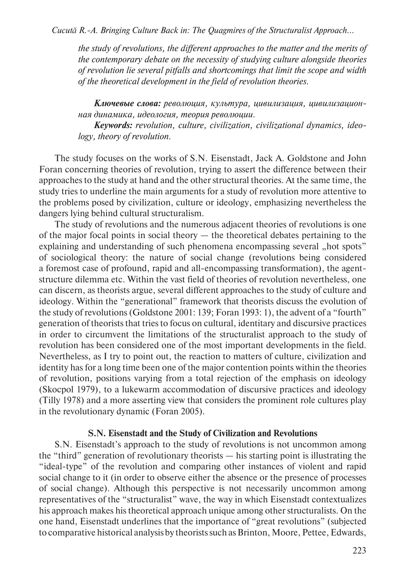*Cucută R.-A. Bringing Culture Back in: The Quagmires of the Structuralist Approach...*

*the study of revolutions, the different approaches to the matter and the merits of the contemporary debate on the necessity of studying culture alongside theories of revolution lie several pitfalls and shortcomings that limit the scope and width of the theoretical development in the field of revolution theories.*

*Ключевые слова: революция, культура, цивилизация, цивилизационная динамика, идеология, теория революции.*

*Keywords: revolution, culture, civilization, civilizational dynamics, ideology, theory of revolution.*

The study focuses on the works of S.N. Eisenstadt, Jack A. Goldstone and John Foran concerning theories of revolution, trying to assert the difference between their approaches to the study at hand and the other structural theories. At the same time, the study tries to underline the main arguments for a study of revolution more attentive to the problems posed by civilization, culture or ideology, emphasizing nevertheless the dangers lying behind cultural structuralism.

The study of revolutions and the numerous adjacent theories of revolutions is one of the major focal points in social theory — the theoretical debates pertaining to the explaining and understanding of such phenomena encompassing several "hot spots" of sociological theory: the nature of social change (revolutions being considered a foremost case of profound, rapid and all-encompassing transformation), the agentstructure dilemma etc. Within the vast field of theories of revolution nevertheless, one can discern, as theorists argue, several different approaches to the study of culture and ideology. Within the "generational" framework that theorists discuss the evolution of the study of revolutions (Goldstone 2001: 139; Foran 1993: 1), the advent of a "fourth" generation of theorists that tries to focus on cultural, identitary and discursive practices in order to circumvent the limitations of the structuralist approach to the study of revolution has been considered one of the most important developments in the field. Nevertheless, as I try to point out, the reaction to matters of culture, civilization and identity has for a long time been one of the major contention points within the theories of revolution, positions varying from a total rejection of the emphasis on ideology (Skocpol 1979), to a lukewarm accommodation of discursive practices and ideology (Tilly 1978) and a more asserting view that considers the prominent role cultures play in the revolutionary dynamic (Foran 2005).

### **S.N. Eisenstadt and the Study of Civilization and Revolutions**

S.N. Eisenstadt's approach to the study of revolutions is not uncommon among the "third" generation of revolutionary theorists — his starting point is illustrating the "ideal-type" of the revolution and comparing other instances of violent and rapid social change to it (in order to observe either the absence or the presence of processes of social change). Although this perspective is not necessarily uncommon among representatives of the "structuralist" wave, the way in which Eisenstadt contextualizes his approach makes his theoretical approach unique among other structuralists. On the one hand, Eisenstadt underlines that the importance of "great revolutions" (subjected to comparative historical analysis by theorists such as Brinton, Moore, Pettee, Edwards,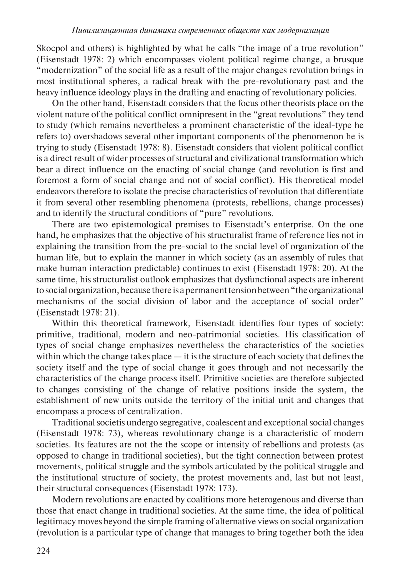Skocpol and others) is highlighted by what he calls "the image of a true revolution" (Eisenstadt 1978: 2) which encompasses violent political regime change, a brusque "modernization" of the social life as a result of the major changes revolution brings in most institutional spheres, a radical break with the pre-revolutionary past and the heavy influence ideology plays in the drafting and enacting of revolutionary policies.

On the other hand, Eisenstadt considers that the focus other theorists place on the violent nature of the political conflict omnipresent in the "great revolutions" they tend to study (which remains nevertheless a prominent characteristic of the ideal-type he refers to) overshadows several other important components of the phenomenon he is trying to study (Eisenstadt 1978: 8). Eisenstadt considers that violent political conflict is a direct result of wider processes of structural and civilizational transformation which bear a direct influence on the enacting of social change (and revolution is first and foremost a form of social change and not of social conflict). His theoretical model endeavors therefore to isolate the precise characteristics of revolution that differentiate it from several other resembling phenomena (protests, rebellions, change processes) and to identify the structural conditions of "pure" revolutions.

There are two epistemological premises to Eisenstadt's enterprise. On the one hand, he emphasizes that the objective of his structuralist frame of reference lies not in explaining the transition from the pre-social to the social level of organization of the human life, but to explain the manner in which society (as an assembly of rules that make human interaction predictable) continues to exist (Eisenstadt 1978: 20). At the same time, his structuralist outlook emphasizes that dysfunctional aspects are inherent to social organization, because there is a permanent tension between "the organizational mechanisms of the social division of labor and the acceptance of social order" (Eisenstadt 1978: 21).

Within this theoretical framework, Eisenstadt identifies four types of society: primitive, traditional, modern and neo-patrimonial societies. His classification of types of social change emphasizes nevertheless the characteristics of the societies within which the change takes place — it is the structure of each society that defines the society itself and the type of social change it goes through and not necessarily the characteristics of the change process itself. Primitive societies are therefore subjected to changes consisting of the change of relative positions inside the system, the establishment of new units outside the territory of the initial unit and changes that encompass a process of centralization.

Traditional societis undergo segregative, coalescent and exceptional social changes (Eisenstadt 1978: 73), whereas revolutionary change is a characteristic of modern societies. Its features are not the the scope or intensity of rebellions and protests (as opposed to change in traditional societies), but the tight connection between protest movements, political struggle and the symbols articulated by the political struggle and the institutional structure of society, the protest movements and, last but not least, their structural consequences (Eisenstadt 1978: 173).

Modern revolutions are enacted by coalitions more heterogenous and diverse than those that enact change in traditional societies. At the same time, the idea of political legitimacy moves beyond the simple framing of alternative views on social organization (revolution is a particular type of change that manages to bring together both the idea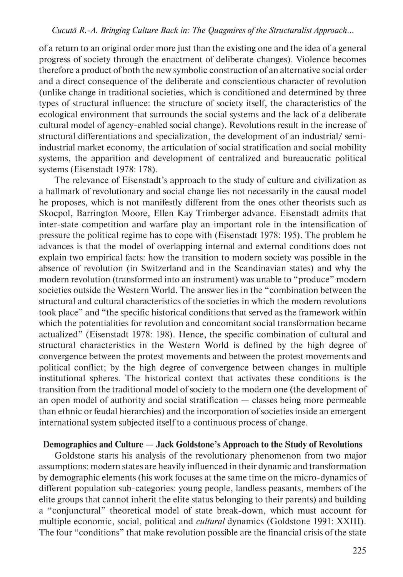of a return to an original order more just than the existing one and the idea of a general progress of society through the enactment of deliberate changes). Violence becomes therefore a product of both the new symbolic construction of an alternative social order and a direct consequence of the deliberate and conscientious character of revolution (unlike change in traditional societies, which is conditioned and determined by three types of structural influence: the structure of society itself, the characteristics of the ecological environment that surrounds the social systems and the lack of a deliberate cultural model of agency-enabled social change). Revolutions result in the increase of structural differentiations and specialization, the development of an industrial/ semiindustrial market economy, the articulation of social stratification and social mobility systems, the apparition and development of centralized and bureaucratic political systems (Eisenstadt 1978: 178).

The relevance of Eisenstadt's approach to the study of culture and civilization as a hallmark of revolutionary and social change lies not necessarily in the causal model he proposes, which is not manifestly different from the ones other theorists such as Skocpol, Barrington Moore, Ellen Kay Trimberger advance. Eisenstadt admits that inter-state competition and warfare play an important role in the intensification of pressure the political regime has to cope with (Eisenstadt 1978: 195). The problem he advances is that the model of overlapping internal and external conditions does not explain two empirical facts: how the transition to modern society was possible in the absence of revolution (in Switzerland and in the Scandinavian states) and why the modern revolution (transformed into an instrument) was unable to "produce" modern societies outside the Western World. The answer lies in the "combination between the structural and cultural characteristics of the societies in which the modern revolutions took place" and "the specific historical conditions that served as the framework within which the potentialities for revolution and concomitant social transformation became actualized" (Eisenstadt 1978: 198). Hence, the specific combination of cultural and structural characteristics in the Western World is defined by the high degree of convergence between the protest movements and between the protest movements and political conflict; by the high degree of convergence between changes in multiple institutional spheres. The historical context that activates these conditions is the transition from the traditional model of society to the modern one (the development of an open model of authority and social stratification — classes being more permeable than ethnic or feudal hierarchies) and the incorporation of societies inside an emergent international system subjected itself to a continuous process of change.

#### **Demographics and Culture — Jack Goldstone's Approach to the Study of Revolutions**

Goldstone starts his analysis of the revolutionary phenomenon from two major assumptions: modern states are heavily influenced in their dynamic and transformation by demographic elements (his work focuses at the same time on the micro-dynamics of different population sub-categories: young people, landless peasants, members of the elite groups that cannot inherit the elite status belonging to their parents) and building a "conjunctural" theoretical model of state break-down, which must account for multiple economic, social, political and *cultural* dynamics (Goldstone 1991: XXIII). The four "conditions" that make revolution possible are the financial crisis of the state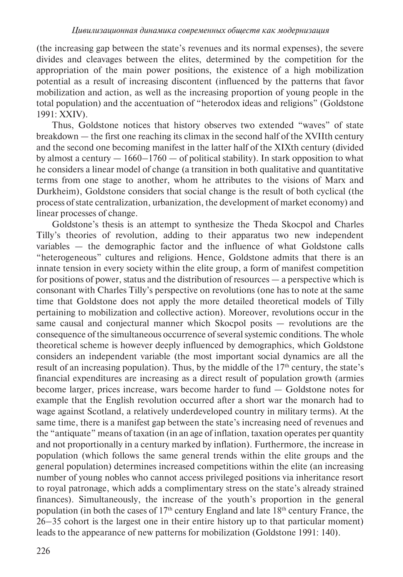(the increasing gap between the state's revenues and its normal expenses), the severe divides and cleavages between the elites, determined by the competition for the appropriation of the main power positions, the existence of a high mobilization potential as a result of increasing discontent (influenced by the patterns that favor mobilization and action, as well as the increasing proportion of young people in the total population) and the accentuation of "heterodox ideas and religions" (Goldstone 1991: XXIV).

Thus, Goldstone notices that history observes two extended "waves" of state breakdown — the first one reaching its climax in the second half of the XVIIth century and the second one becoming manifest in the latter half of the XIXth century (divided by almost a century  $-1660-1760$  — of political stability). In stark opposition to what he considers a linear model of change (a transition in both qualitative and quantitative terms from one stage to another, whom he attributes to the visions of Marx and Durkheim), Goldstone considers that social change is the result of both cyclical (the process of state centralization, urbanization, the development of market economy) and linear processes of change.

Goldstone's thesis is an attempt to synthesize the Theda Skocpol and Charles Tilly's theories of revolution, adding to their apparatus two new independent variables — the demographic factor and the influence of what Goldstone calls "heterogeneous" cultures and religions. Hence, Goldstone admits that there is an innate tension in every society within the elite group, a form of manifest competition for positions of power, status and the distribution of resources — a perspective which is consonant with Charles Tilly's perspective on revolutions (one has to note at the same time that Goldstone does not apply the more detailed theoretical models of Tilly pertaining to mobilization and collective action). Moreover, revolutions occur in the same causal and conjectural manner which Skocpol posits — revolutions are the consequence of the simultaneous occurrence of several systemic conditions. The whole theoretical scheme is however deeply influenced by demographics, which Goldstone considers an independent variable (the most important social dynamics are all the result of an increasing population). Thus, by the middle of the  $17<sup>th</sup>$  century, the state's financial expenditures are increasing as a direct result of population growth (armies become larger, prices increase, wars become harder to fund — Goldstone notes for example that the English revolution occurred after a short war the monarch had to wage against Scotland, a relatively underdeveloped country in military terms). At the same time, there is a manifest gap between the state's increasing need of revenues and the "antiquate" means of taxation (in an age of inflation, taxation operates per quantity and not proportionally in a century marked by inflation). Furthermore, the increase in population (which follows the same general trends within the elite groups and the general population) determines increased competitions within the elite (an increasing number of young nobles who cannot access privileged positions via inheritance resort to royal patronage, which adds a complimentary stress on the state's already strained finances). Simultaneously, the increase of the youth's proportion in the general population (in both the cases of  $17<sup>th</sup>$  century England and late  $18<sup>th</sup>$  century France, the 26–35 cohort is the largest one in their entire history up to that particular moment) leads to the appearance of new patterns for mobilization (Goldstone 1991: 140).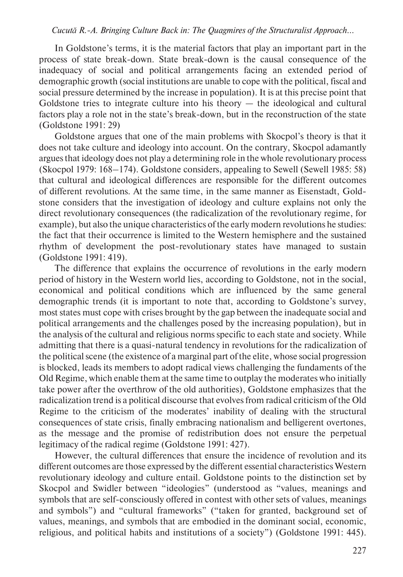#### *Cucută R.-A. Bringing Culture Back in: The Quagmires of the Structuralist Approach...*

In Goldstone's terms, it is the material factors that play an important part in the process of state break-down. State break-down is the causal consequence of the inadequacy of social and political arrangements facing an extended period of demographic growth (social institutions are unable to cope with the political, fiscal and social pressure determined by the increase in population). It is at this precise point that Goldstone tries to integrate culture into his theory — the ideological and cultural factors play a role not in the state's break-down, but in the reconstruction of the state (Goldstone 1991: 29)

Goldstone argues that one of the main problems with Skocpol's theory is that it does not take culture and ideology into account. On the contrary, Skocpol adamantly argues that ideology does not play a determining role in the whole revolutionary process (Skocpol 1979: 168–174). Goldstone considers, appealing to Sewell (Sewell 1985: 58) that cultural and ideological differences are responsible for the different outcomes of different revolutions. At the same time, in the same manner as Eisenstadt, Goldstone considers that the investigation of ideology and culture explains not only the direct revolutionary consequences (the radicalization of the revolutionary regime, for example), but also the unique characteristics of the early modern revolutions he studies: the fact that their occurrence is limited to the Western hemisphere and the sustained rhythm of development the post-revolutionary states have managed to sustain (Goldstone 1991: 419).

The difference that explains the occurrence of revolutions in the early modern period of history in the Western world lies, according to Goldstone, not in the social, economical and political conditions which are influenced by the same general demographic trends (it is important to note that, according to Goldstone's survey, most states must cope with crises brought by the gap between the inadequate social and political arrangements and the challenges posed by the increasing population), but in the analysis of the cultural and religious norms specific to each state and society. While admitting that there is a quasi-natural tendency in revolutions for the radicalization of the political scene (the existence of a marginal part of the elite, whose social progression is blocked, leads its members to adopt radical views challenging the fundaments of the Old Regime, which enable them at the same time to outplay the moderates who initially take power after the overthrow of the old authorities), Goldstone emphasizes that the radicalization trend is a political discourse that evolves from radical criticism of the Old Regime to the criticism of the moderates' inability of dealing with the structural consequences of state crisis, finally embracing nationalism and belligerent overtones, as the message and the promise of redistribution does not ensure the perpetual legitimacy of the radical regime (Goldstone 1991: 427).

However, the cultural differences that ensure the incidence of revolution and its different outcomes are those expressed by the different essential characteristics Western revolutionary ideology and culture entail. Goldstone points to the distinction set by Skocpol and Swidler between "ideologies" (understood as "values, meanings and symbols that are self-consciously offered in contest with other sets of values, meanings and symbols") and "cultural frameworks" ("taken for granted, background set of values, meanings, and symbols that are embodied in the dominant social, economic, religious, and political habits and institutions of a society") (Goldstone 1991: 445).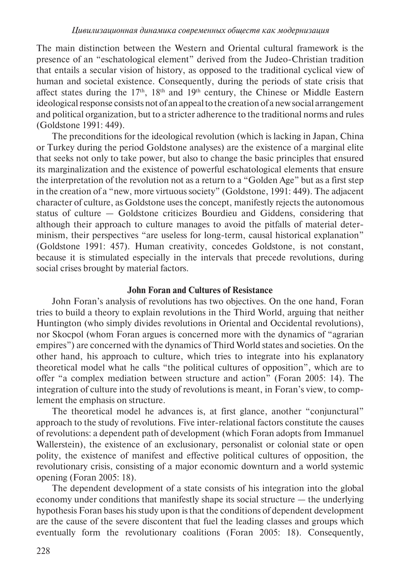The main distinction between the Western and Oriental cultural framework is the presence of an "eschatological element" derived from the Judeo-Christian tradition that entails a secular vision of history, as opposed to the traditional cyclical view of human and societal existence. Consequently, during the periods of state crisis that affect states during the  $17<sup>th</sup>$ ,  $18<sup>th</sup>$  and  $19<sup>th</sup>$  century, the Chinese or Middle Eastern ideological response consists not of an appeal to the creation of a new social arrangement and political organization, but to a stricter adherence to the traditional norms and rules (Goldstone 1991: 449).

The preconditions for the ideological revolution (which is lacking in Japan, China or Turkey during the period Goldstone analyses) are the existence of a marginal elite that seeks not only to take power, but also to change the basic principles that ensured its marginalization and the existence of powerful eschatological elements that ensure the interpretation of the revolution not as a return to a "Golden Age" but as a first step in the creation of a "new, more virtuous society" (Goldstone, 1991: 449). The adjacent character of culture, as Goldstone uses the concept, manifestly rejects the autonomous status of culture — Goldstone criticizes Bourdieu and Giddens, considering that although their approach to culture manages to avoid the pitfalls of material determinism, their perspectives "are useless for long-term, causal historical explanation" (Goldstone 1991: 457). Human creativity, concedes Goldstone, is not constant, because it is stimulated especially in the intervals that precede revolutions, during social crises brought by material factors.

## **John Foran and Cultures of Resistance**

John Foran's analysis of revolutions has two objectives. On the one hand, Foran tries to build a theory to explain revolutions in the Third World, arguing that neither Huntington (who simply divides revolutions in Oriental and Occidental revolutions), nor Skocpol (whom Foran argues is concerned more with the dynamics of "agrarian empires") are concerned with the dynamics of Third World states and societies. On the other hand, his approach to culture, which tries to integrate into his explanatory theoretical model what he calls "the political cultures of opposition", which are to offer "a complex mediation between structure and action" (Foran 2005: 14). The integration of culture into the study of revolutions is meant, in Foran's view, to complement the emphasis on structure.

The theoretical model he advances is, at first glance, another "conjunctural" approach to the study of revolutions. Five inter-relational factors constitute the causes of revolutions: a dependent path of development (which Foran adopts from Immanuel Wallerstein), the existence of an exclusionary, personalist or colonial state or open polity, the existence of manifest and effective political cultures of opposition, the revolutionary crisis, consisting of a major economic downturn and a world systemic opening (Foran 2005: 18).

The dependent development of a state consists of his integration into the global economy under conditions that manifestly shape its social structure — the underlying hypothesis Foran bases his study upon is that the conditions of dependent development are the cause of the severe discontent that fuel the leading classes and groups which eventually form the revolutionary coalitions (Foran 2005: 18). Consequently,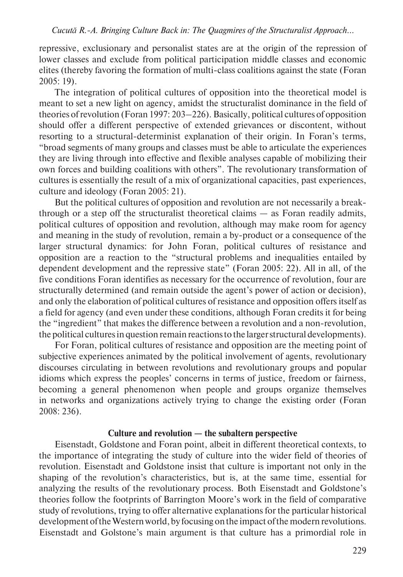repressive, exclusionary and personalist states are at the origin of the repression of lower classes and exclude from political participation middle classes and economic elites (thereby favoring the formation of multi-class coalitions against the state (Foran 2005: 19).

The integration of political cultures of opposition into the theoretical model is meant to set a new light on agency, amidst the structuralist dominance in the field of theories of revolution (Foran 1997: 203–226). Basically, political cultures of opposition should offer a different perspective of extended grievances or discontent, without resorting to a structural-determinist explanation of their origin. In Foran's terms, "broad segments of many groups and classes must be able to articulate the experiences they are living through into effective and flexible analyses capable of mobilizing their own forces and building coalitions with others". The revolutionary transformation of cultures is essentially the result of a mix of organizational capacities, past experiences, culture and ideology (Foran 2005: 21).

But the political cultures of opposition and revolution are not necessarily a breakthrough or a step off the structuralist theoretical claims — as Foran readily admits, political cultures of opposition and revolution, although may make room for agency and meaning in the study of revolution, remain a by-product or a consequence of the larger structural dynamics: for John Foran, political cultures of resistance and opposition are a reaction to the "structural problems and inequalities entailed by dependent development and the repressive state" (Foran 2005: 22). All in all, of the five conditions Foran identifies as necessary for the occurrence of revolution, four are structurally determined (and remain outside the agent's power of action or decision), and only the elaboration of political cultures of resistance and opposition offers itself as a field for agency (and even under these conditions, although Foran credits it for being the "ingredient" that makes the difference between a revolution and a non-revolution, the political cultures in question remain reactions to the larger structural developments).

For Foran, political cultures of resistance and opposition are the meeting point of subjective experiences animated by the political involvement of agents, revolutionary discourses circulating in between revolutions and revolutionary groups and popular idioms which express the peoples' concerns in terms of justice, freedom or fairness, becoming a general phenomenon when people and groups organize themselves in networks and organizations actively trying to change the existing order (Foran 2008: 236).

#### **Culture and revolution — the subaltern perspective**

Eisenstadt, Goldstone and Foran point, albeit in different theoretical contexts, to the importance of integrating the study of culture into the wider field of theories of revolution. Eisenstadt and Goldstone insist that culture is important not only in the shaping of the revolution's characteristics, but is, at the same time, essential for analyzing the results of the revolutionary process. Both Eisenstadt and Goldstone's theories follow the footprints of Barrington Moore's work in the field of comparative study of revolutions, trying to offer alternative explanations for the particular historical development of the Western world, by focusing on the impact of the modern revolutions. Eisenstadt and Golstone's main argument is that culture has a primordial role in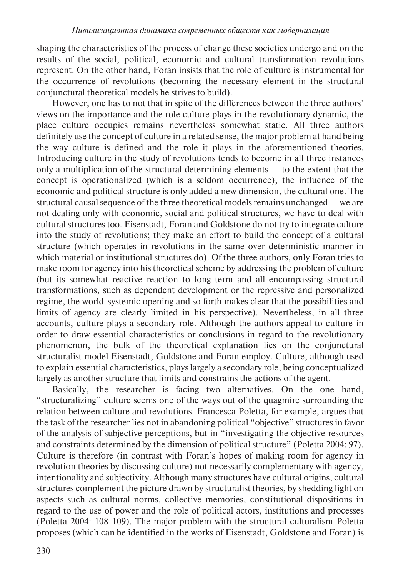shaping the characteristics of the process of change these societies undergo and on the results of the social, political, economic and cultural transformation revolutions represent. On the other hand, Foran insists that the role of culture is instrumental for the occurrence of revolutions (becoming the necessary element in the structural conjunctural theoretical models he strives to build).

However, one has to not that in spite of the differences between the three authors' views on the importance and the role culture plays in the revolutionary dynamic, the place culture occupies remains nevertheless somewhat static. All three authors definitely use the concept of culture in a related sense, the major problem at hand being the way culture is defined and the role it plays in the aforementioned theories. Introducing culture in the study of revolutions tends to become in all three instances only a multiplication of the structural determining elements — to the extent that the concept is operationalized (which is a seldom occurrence), the influence of the economic and political structure is only added a new dimension, the cultural one. The structural causal sequence of the three theoretical models remains unchanged — we are not dealing only with economic, social and political structures, we have to deal with cultural structures too. Eisenstadt, Foran and Goldstone do not try to integrate culture into the study of revolutions; they make an effort to build the concept of a cultural structure (which operates in revolutions in the same over-deterministic manner in which material or institutional structures do). Of the three authors, only Foran tries to make room for agency into his theoretical scheme by addressing the problem of culture (but its somewhat reactive reaction to long-term and all-encompassing structural transformations, such as dependent development or the repressive and personalized regime, the world-systemic opening and so forth makes clear that the possibilities and limits of agency are clearly limited in his perspective). Nevertheless, in all three accounts, culture plays a secondary role. Although the authors appeal to culture in order to draw essential characteristics or conclusions in regard to the revolutionary phenomenon, the bulk of the theoretical explanation lies on the conjunctural structuralist model Eisenstadt, Goldstone and Foran employ. Culture, although used to explain essential characteristics, plays largely a secondary role, being conceptualized largely as another structure that limits and constrains the actions of the agent.

Basically, the researcher is facing two alternatives. On the one hand, "structuralizing" culture seems one of the ways out of the quagmire surrounding the relation between culture and revolutions. Francesca Poletta, for example, argues that the task of the researcher lies not in abandoning political "objective" structures in favor of the analysis of subjective perceptions, but in "investigating the objective resources and constraints determined by the dimension of political structure" (Poletta 2004: 97). Culture is therefore (in contrast with Foran's hopes of making room for agency in revolution theories by discussing culture) not necessarily complementary with agency, intentionality and subjectivity. Although many structures have cultural origins, cultural structures complement the picture drawn by structuralist theories, by shedding light on aspects such as cultural norms, collective memories, constitutional dispositions in regard to the use of power and the role of political actors, institutions and processes (Poletta 2004: 108-109). The major problem with the structural culturalism Poletta proposes (which can be identified in the works of Eisenstadt, Goldstone and Foran) is